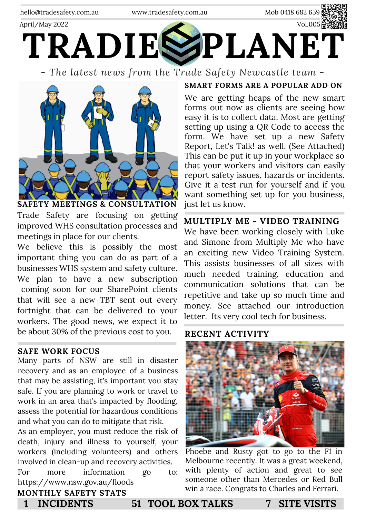

*- The latest news from the Trade Safety Newcastle team -*



Trade Safety are focusing on getting improved WHS consultation processes and meetings in place for our clients.

We believe this is possibly the most important thing you can do as part of a businesses WHS system and safety culture. We plan to have a new subscription coming soon for our SharePoint clients that will see a new TBT sent out every fortnight that can be delivered to your workers. The good news, we expect it to be about 30% of the previous cost to you.

#### **SAFE WORK FOCUS**

Many parts of NSW are still in disaster recovery and as an employee of a business that may be assisting, it's important you stay safe. If you are planning to work or travel to work in an area that's impacted by flooding, assess the potential for hazardous conditions and what you can do to mitigate that risk.

As an employer, you must reduce the risk of death, injury and illness to yourself, your workers (including [volunteers](https://www.safework.nsw.gov.au/legal-obligations/volunteering)) and others involved in clean-up and recovery activities. For more information go to: https://www.nsw.gov.au/floods

### **SMART FORMS ARE A POPULAR ADD ON**

We are getting heaps of the new smart forms out now as clients are seeing how easy it is to collect data. Most are getting setting up using a QR Code to access the form. We have set up a new Safety Report, Let's Talk! as well. (See Attached) This can be put it up in your workplace so that your workers and visitors can easily report safety issues, hazards or incidents. Give it a test run for yourself and if you want something set up for you business, just let us know.

### **MULTIPLY ME - VIDEO TRAINING**

We have been working closely with Luke and Simone from Multiply Me who have an exciting new Video Training System. This assists businesses of all sizes with much needed training, education and communication solutions that can be repetitive and take up so much time and money. See attached our introduction letter. Its very cool tech for business.

### **RECENT ACTIVITY**



Phoebe and Rusty got to go to the F1 in Melbourne recently. It was a great weekend, with plenty of action and great to see someone other than Mercedes or Red Bull win a race. Congrats to Charles and Ferrari.

**MONTHLY SAFETY STATS**

**1 INCIDENTS 51 TOOL BOX TALKS 7 SITE VISITS**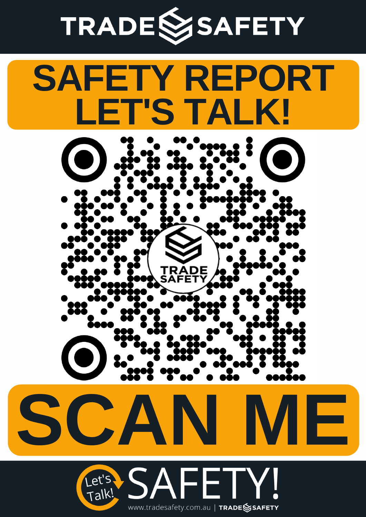# TRADESSAFETY

## **SAFETY REPORT LET'S TALK!**





**SCAN ME**